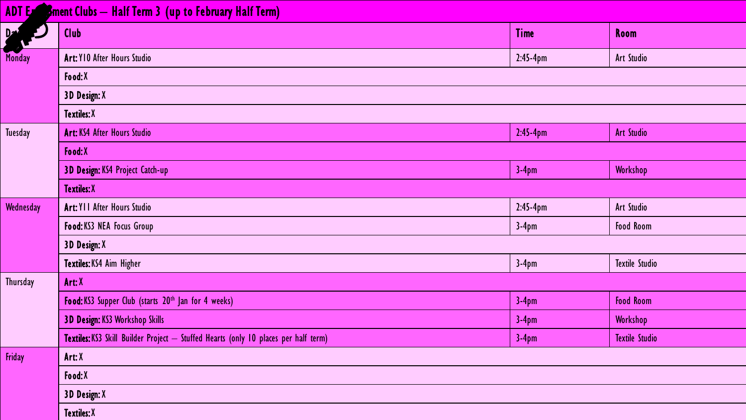#### ADT Exception Clubs – Half Term 3 (up to February Half Term)

| Part of   | Club                                                                                | <b>Time</b> | Room                  |
|-----------|-------------------------------------------------------------------------------------|-------------|-----------------------|
| Monday    | Art: Y10 After Hours Studio                                                         | $2:45-4pm$  | Art Studio            |
|           | Food: X                                                                             |             |                       |
|           | 3D Design: X                                                                        |             |                       |
|           | <b>Textiles: X</b>                                                                  |             |                       |
| Tuesday   | Art: KS4 After Hours Studio                                                         | $2:45-4pm$  | <b>Art Studio</b>     |
|           | Food:X                                                                              |             |                       |
|           | 3D Design: KS4 Project Catch-up                                                     | $3-4pm$     | Workshop              |
|           | <b>Textiles: X</b>                                                                  |             |                       |
| Wednesday | Art: YII After Hours Studio                                                         | $2:45-4pm$  | Art Studio            |
|           | Food: KS3 NEA Focus Group                                                           | $3-4pm$     | <b>Food Room</b>      |
|           | 3D Design: X                                                                        |             |                       |
|           | Textiles: KS4 Aim Higher                                                            | $3-4pm$     | <b>Textile Studio</b> |
| Thursday  | Art: X                                                                              |             |                       |
|           | Food: KS3 Supper Club (starts 20 <sup>th</sup> Jan for 4 weeks)                     | $3-4pm$     | <b>Food Room</b>      |
|           | 3D Design: KS3 Workshop Skills                                                      | $3-4pm$     | Workshop              |
|           | Textiles: KS3 Skill Builder Project - Stuffed Hearts (only 10 places per half term) | $3-4pm$     | <b>Textile Studio</b> |
| Friday    | Art: X                                                                              |             |                       |
|           | Food:X                                                                              |             |                       |
|           | 3D Design: X                                                                        |             |                       |
|           | <b>Textiles: X</b>                                                                  |             |                       |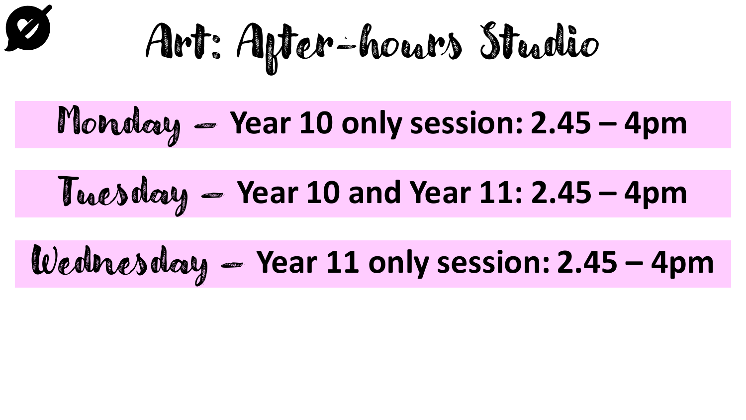$$
\boldsymbol{\mathscr{D}}
$$

Art: After-hours Studio

Monday – **Year 10 only session: 2.45 – 4pm**

### Tuesday – **Year 10 and Year 11: 2.45 – 4pm**

## Wednesday – **Year 11 only session: 2.45 – 4pm**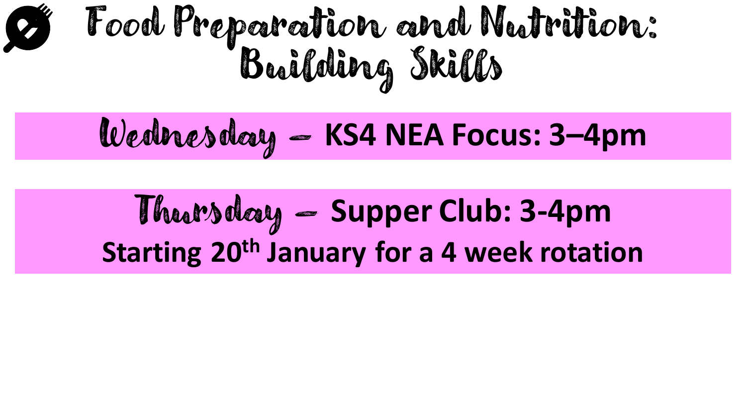# Food Preparation and Nutrition: Building Skills

#### Wednesday – **KS4 NEA Focus: 3–4pm**

Thursday – **Supper Club: 3-4pm Starting 20th January for a 4 week rotation**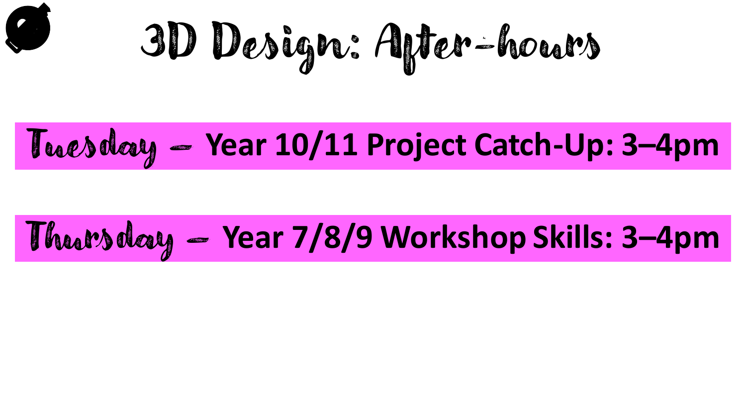

3D Design: After-hours

#### Tuesday – **Year 10/11 Project Catch-Up: 3–4pm**

## Thursday – **Year 7/8/9 Workshop Skills: 3–4pm**